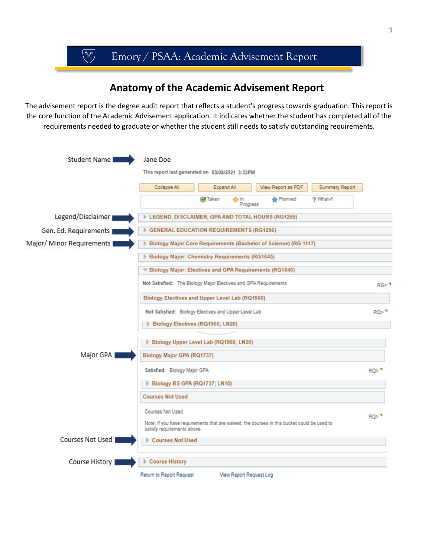Emory / PSAA: Academic Advisement Report  $(\%)$ 

# **Anatomy of the Academic Advisement Report**

The advisement report is the degree audit report that reflects a student's progress towards graduation. This report is the core function of the Academic Advisement application. It indicates whether the student has completed all of the requirements needed to graduate or whether the student still needs to satisfy outstanding requirements.

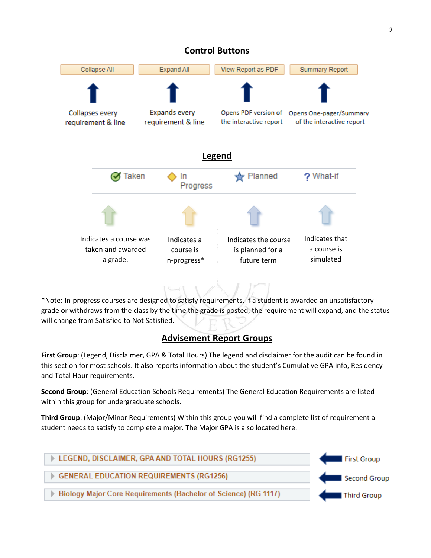# **Control Buttons**



\*Note: In-progress courses are designed to satisfy requirements. If a student is awarded an unsatisfactory grade or withdraws from the class by the time the grade is posted, the requirement will expand, and the status will change from Satisfied to Not Satisfied.

## **Advisement Report Groups**

**First Group**: (Legend, Disclaimer, GPA & Total Hours) The legend and disclaimer for the audit can be found in this section for most schools. It also reports information about the student's Cumulative GPA info, Residency and Total Hour requirements.

**Second Group**: (General Education Schools Requirements) The General Education Requirements are listed within this group for undergraduate schools.

**Third Group**: (Major/Minor Requirements) Within this group you will find a complete list of requirement a student needs to satisfy to complete a major. The Major GPA is also located here.

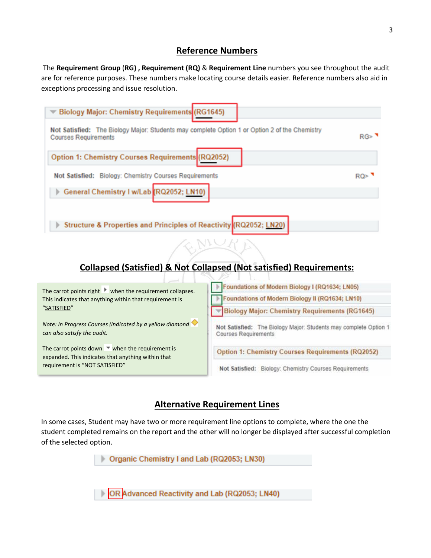# **Reference Numbers**

The **Requirement Group** (**RG) , Requirement (RQ)** & **Requirement Line** numbers you see throughout the audit are for reference purposes. These numbers make locating course details easier. Reference numbers also aid in exceptions processing and issue resolution.

| <b>Biology Major: Chemistry Requirements (RG1645)</b>                                                                        |                                                                                                   |
|------------------------------------------------------------------------------------------------------------------------------|---------------------------------------------------------------------------------------------------|
| Not Satisfied: The Biology Major: Students may complete Option 1 or Option 2 of the Chemistry<br><b>Courses Requirements</b> | RG <sup>7</sup>                                                                                   |
| Option 1: Chemistry Courses Requirements (RQ2052)                                                                            |                                                                                                   |
| Not Satisfied: Biology: Chemistry Courses Requirements                                                                       | $RO \geq 1$                                                                                       |
| General Chemistry I w/Lab (RQ2052; LN10)                                                                                     |                                                                                                   |
| Structure & Properties and Principles of Reactivity (RQ2052; LN20                                                            | <b>Collapsed (Satisfied) &amp; Not Collapsed (Not satisfied) Requirements:</b>                    |
| The carrot points right I when the requirement collapses.<br>This indicates that anything within that requirement is         | Foundations of Modern Biology I (RQ1634; LN05)<br>Foundations of Modern Biology II (RQ1634; LN10) |
| "SATISFIED"                                                                                                                  | <b>Biology Major: Chemistry Requirements (RG1645)</b>                                             |
| Note: In Progress Courses (indicated by a yellow diamond<br>can also satisfy the audit.                                      | Not Satisfied: The Biology Major: Students may complete Option 1<br>Courses Requirements          |
| The carrot points down $\blacktriangledown$ when the requirement is<br>expanded. This indicates that anything within that    | <b>Option 1: Chemistry Courses Requirements (RQ2052)</b>                                          |
| requirement is "NOT SATISFIED"                                                                                               | Not Satisfied: Biology: Chemistry Courses Requirements                                            |

# **Alternative Requirement Lines**

In some cases, Student may have two or more requirement line options to complete, where the one the student completed remains on the report and the other will no longer be displayed after successful completion of the selected option.

Organic Chemistry I and Lab (RQ2053; LN30)

OR Advanced Reactivity and Lab (RQ2053; LN40)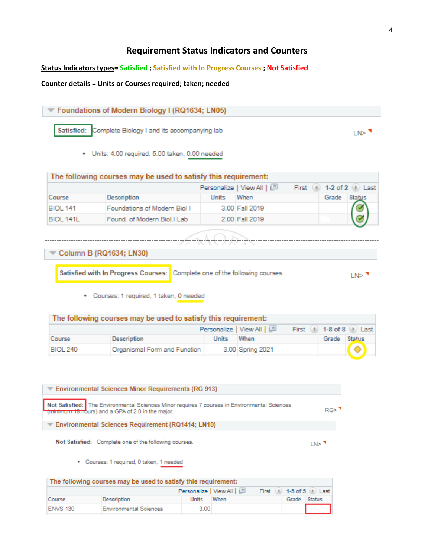# **Requirement Status Indicators and Counters**

#### **Status Indicators types= Satisfied ; Satisfied with In Progress Courses ; Not Satisfied**

#### **Counter details = Units or Courses required; taken; needed**

### Foundations of Modern Biology I (RQ1634; LN05)

Satisfied:

Complete Biology I and its accompanying lab

· Units: 4.00 required, 5.00 taken, 0.00 needed

| The following courses may be used to satisfy this requirement: |                              |       |                              |       |       |                           |  |
|----------------------------------------------------------------|------------------------------|-------|------------------------------|-------|-------|---------------------------|--|
|                                                                |                              |       | Personalize   View All   [2] | First |       | $(4)$ 1-2 of 2 $(k)$ Last |  |
| Course                                                         | <b>Description</b>           | Units | When                         |       | Grade | <b>Status</b>             |  |
| <b>BIOL 141</b>                                                | Foundations of Modern Biol I |       | 3.00 Fall 2019               |       |       |                           |  |
| BIOL 141L                                                      | Found, of Modern Biol.I Lab  |       | 2.00 Fall 2019               |       |       |                           |  |

---------------------------------------------------------------------------------------------------------------------------------------------

### Column B (RQ1634; LN30)

Satisfied with In Progress Courses: Complete one of the following courses.

· Courses: 1 required, 1 taken, 0 needed

| The following courses may be used to satisfy this requirement: |                              |       |                  |  |              |  |  |
|----------------------------------------------------------------|------------------------------|-------|------------------|--|--------------|--|--|
| Personalize   View All   (계<br>First (4) 1-8 of 8 (4) Last     |                              |       |                  |  |              |  |  |
| Course                                                         | Description                  | Units | When             |  | Grade Status |  |  |
| BIOL 240                                                       | Organismal Form and Function |       | 3.00 Spring 2021 |  |              |  |  |

| Environmental Sciences Minor Requirements (RG 913)                                                                                                  |                  |
|-----------------------------------------------------------------------------------------------------------------------------------------------------|------------------|
|                                                                                                                                                     |                  |
| Not Satisfied: The Environmental Sciences Minor requires 7 courses in Environmental Sciences<br>triminimum 18 hours) and a GPA of 2.0 in the major. | $RG \geq 1$      |
| Environmental Sciences Requirement (RQ1414; LN10)                                                                                                   |                  |
|                                                                                                                                                     |                  |
| Not Satisfied: Complete one of the following courses.                                                                                               | LN> <sup>1</sup> |
| Courses: 1 required, 0 taken, 1 needed                                                                                                              |                  |
| The following courses may be used to satisfy this requirement:                                                                                      |                  |

|          |                               |            | Personalize   View All   (계 |  |              | First (4) 1-5 of 5 (4) Last |  |
|----------|-------------------------------|------------|-----------------------------|--|--------------|-----------------------------|--|
| Course   | <b>Description</b>            | Units When |                             |  | Grade Status |                             |  |
| ENVS 130 | <b>Environmental Sciences</b> | 3.00       |                             |  |              |                             |  |

 $LNP<sup>7</sup>$ 

 $LNP<sup>7</sup>$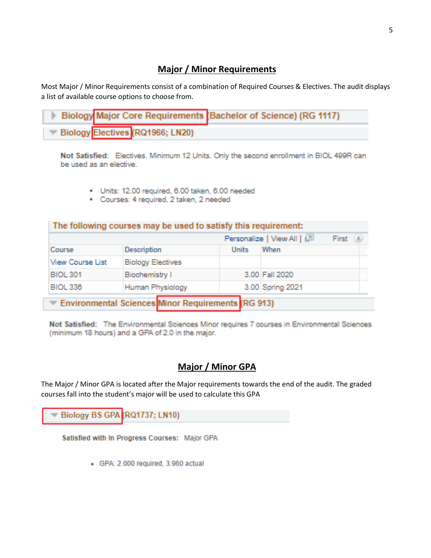# **Major / Minor Requirements**

Most Major / Minor Requirements consist of a combination of Required Courses & Electives. The audit displays a list of available course options to choose from.

|                                  | Biology Major Core Requirements Bachelor of Science) (RG 1117) |
|----------------------------------|----------------------------------------------------------------|
| Biology Electives (RQ1966; LN20) |                                                                |

Not Satisfied: Electives. Minimum 12 Units. Only the second enrollment in BIOL 499R can be used as an elective.

- · Units: 12.00 required, 6.00 taken, 6.00 needed
- · Courses: 4 required, 2 taken, 2 needed

| The following courses may be used to satisfy this requirement: |                          |              |                  |  |  |  |  |
|----------------------------------------------------------------|--------------------------|--------------|------------------|--|--|--|--|
| Personalize   View All   [2]<br>First                          |                          |              |                  |  |  |  |  |
| Course                                                         | <b>Description</b>       | <b>Units</b> | When             |  |  |  |  |
| <b>View Course List</b>                                        | <b>Biology Electives</b> |              |                  |  |  |  |  |
| <b>BIOL 301</b>                                                | <b>Biochemistry I</b>    |              | 3.00 Fall 2020   |  |  |  |  |
| <b>BIOL 336</b>                                                | Human Physiology         |              | 3.00 Spring 2021 |  |  |  |  |
| Environmental Sciences Minor Requirements (RG 913)             |                          |              |                  |  |  |  |  |

Not Satisfied: The Environmental Sciences Minor requires 7 courses in Environmental Sciences (minimum 18 hours) and a GPA of 2.0 in the major.

# **Major / Minor GPA**

The Major / Minor GPA is located after the Major requirements towards the end of the audit. The graded courses fall into the student's major will be used to calculate this GPA

# $\blacktriangledown$  Biology BS GPA (RQ1737; LN10)

Satisfied with In Progress Courses: Major GPA

· GPA: 2.000 required, 3.960 actual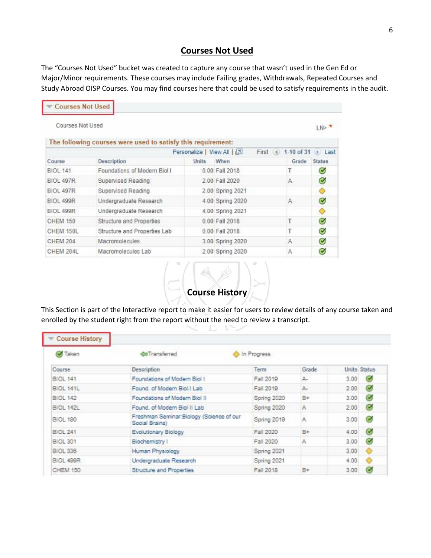# **Courses Not Used**

The "Courses Not Used" bucket was created to capture any course that wasn't used in the Gen Ed or Major/Minor requirements. These courses may include Failing grades, Withdrawals, Repeated Courses and Study Abroad OISP Courses. You may find courses here that could be used to satisfy requirements in the audit.

| <b>Courses Not Used</b> |                                                              |       |                              |       |            |               |
|-------------------------|--------------------------------------------------------------|-------|------------------------------|-------|------------|---------------|
| Courses Not Used        |                                                              |       |                              |       |            | LN>           |
|                         | The following courses were used to satisfy this requirement: |       | Personalize   View All   (2) | First | 1-10 of 31 | Last          |
| Course                  | Description                                                  | Units | <b>When</b>                  |       | Grade      | <b>Status</b> |
| <b>BIOL 141</b>         | Foundations of Modern Biol I                                 |       | 0.00 Fall 2018               |       | Τ          | ✅             |
| <b>BIOL 497R</b>        | Supervised Reading                                           |       | 2.00 Fall 2020               |       | A          | ☑             |
| <b>BIOL 497R</b>        | Supervised Reading                                           |       | 2.00 Spring 2021             |       |            | ♦             |
| <b>BIOL 499R</b>        | Undergraduate Research                                       |       | 4.00 Spring 2020             |       | A          | ✅             |
| <b>BIOL 499R</b>        | Undergraduate Research                                       |       | 4.00 Spring 2021             |       |            | ♦             |
| CHEM 150                | Structure and Properties                                     |       | 0.00 Fall 2018               |       |            | Ø             |
| CHEM 150L               | Structure and Properties Lab                                 |       | 0.00 Fall 2018               |       |            | ☑             |
| <b>CHEM 204</b>         | Macromolecules                                               |       | 3.00 Spring 2020             |       | A          | ☑             |
| CHEM 204L               | Macromolecules Lab                                           |       | 2.00 Spring 2020             |       | A          | Ø             |



This Section is part of the Interactive report to make it easier for users to review details of any course taken and enrolled by the student right from the report without the need to review a transcript.

T.

 $\Gamma$ 

| Course History   |                                                            |             |       |      |              |
|------------------|------------------------------------------------------------|-------------|-------|------|--------------|
| <b>S</b> Taken   | ca Transferred                                             | In Progress |       |      |              |
| Course           | Description                                                | Term        | Grade |      | Units Status |
| <b>BIOL 141</b>  | Foundations of Modern Biol I                               | Fall 2019   | Д.    | 3.00 | Ø            |
| BIOL 141L        | Found, of Modern Biol. I Lab                               | Fall 2019   | Ar    | 2.00 | Ø            |
| BIOL 142         | Foundations of Modern Biol II                              | Spring 2020 | B+    | 3.00 | C            |
| <b>BIOL 142L</b> | Found, of Modern Biol II Lab                               | Spring 2020 | A     | 2.00 | $\circ$      |
| BIOL 190         | Freshman Seminar:Biology (Science of our<br>Social Brains) | Spring 2019 | Α     | 3.00 | Ø            |
| BIOL 241         | Evolutionary Biology                                       | Fall 2020   | B+    | 4.00 | C            |
| <b>BIOL 301</b>  | Biochemistry II                                            | Fall 2020   | А     | 3.00 | Ø            |
| BIOL 336         | Human Physiology                                           | Spring 2021 |       | 3.00 | $\bullet$    |
| BIOL 499R        | Undergraduate Research                                     | Spring 2021 |       | 4.00 | ۰            |
| CHEM 150         | Structure and Properties                                   | Fall 2018   | $B+$  | 3.00 | C            |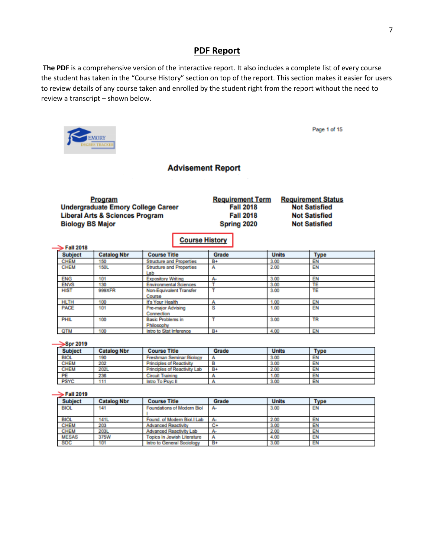## **PDF Report**

**The PDF** is a comprehensive version of the interactive report. It also includes a complete list of every course the student has taken in the "Course History" section on top of the report. This section makes it easier for users to review details of any course taken and enrolled by the student right from the report without the need to review a transcript – shown below.



Page 1 of 15

# **Advisement Report**

| Program                                    | <b>Requirement Term</b> | <b>Requirement Status</b> |
|--------------------------------------------|-------------------------|---------------------------|
| <b>Undergraduate Emory College Career</b>  | <b>Fall 2018</b>        | <b>Not Satisfied</b>      |
| <b>Liberal Arts &amp; Sciences Program</b> | <b>Fall 2018</b>        | <b>Not Satisfied</b>      |
| <b>Biology BS Major</b>                    | Spring 2020             | <b>Not Satisfied</b>      |

### **Course History**

| $\rightarrow$ Fall 2018 |                    |                                        |       |              |             |
|-------------------------|--------------------|----------------------------------------|-------|--------------|-------------|
| <b>Subject</b>          | <b>Catalog Nbr</b> | <b>Course Title</b>                    | Grade | <b>Units</b> | <b>Type</b> |
| <b>CHEM</b>             | 150                | <b>Structure and Properties</b>        | $B+$  | 3.00         | EN          |
| <b>CHEM</b>             | <b>150L</b>        | <b>Structure and Properties</b><br>Lab | A     | 2.00         | EN          |
| <b>ENG</b>              | 101                | <b>Expository Writing</b>              | А.    | 3.00         | EN          |
| <b>ENVS</b>             | 130                | <b>Environmental Sciences</b>          |       | 3.00         | TE          |
| <b>HIST</b>             | 999XFR             | Non-Equivalent Transfer<br>Course      |       | 3.00         | TE          |
| <b>HLTH</b>             | 100                | It's Your Health                       |       | 1.00         | EN          |
| PACE                    | 101                | Pre-major Advising<br>Connection       | ŝ     | 1.00         | EN          |
| PHIL                    | 100                | <b>Basic Problems in</b><br>Philosophy |       | 3.00         | <b>TR</b>   |
| <b>OTM</b>              | 100                | Intro to Stat Inference                | $B+$  | 4.00         | EN          |

#### $\rightarrow$ Spr 2019

| <b>Subject</b> | <b>Catalog Nbr</b> | <b>Course Title</b>                 | Grade | <b>Units</b> | Type      |
|----------------|--------------------|-------------------------------------|-------|--------------|-----------|
| <b>BIOL</b>    | 190                | Freshman Seminar:Biology            |       | 3.00         | EN        |
| <b>CHEM</b>    | 202                | <b>Principles of Reactivity</b>     |       | 3.00         | EN        |
| <b>CHEM</b>    | 202L               | <b>Principles of Reactivity Lab</b> | $B+$  | 2.00         | <b>EN</b> |
| PE             | 236                | <b>Circuit Training</b>             |       | 1.00         | EN        |
| <b>PSYC</b>    | 111                | Intro To Psyc II                    |       | 3.00         | EN        |

#### $\rightarrow$ Fall 2019

| <b>Subject</b> | <b>Catalog Nbr</b> | <b>Course Title</b>               | Grade     | <b>Units</b> | Type |
|----------------|--------------------|-----------------------------------|-----------|--------------|------|
| <b>BIOL</b>    | 141                | <b>Foundations of Modern Biol</b> |           | 3.00         | EN   |
|                |                    |                                   |           |              |      |
| <b>BIOL</b>    | 141L               | Found, of Modern Biol.I Lab       |           | 2.00         | EN   |
| <b>CHEM</b>    | 203                | <b>Advanced Reactivity</b>        |           | 3.00         | EN   |
| <b>CHEM</b>    | 203L               | <b>Advanced Reactivity Lab</b>    |           | 2.00         | EN   |
| <b>MESAS</b>   | 375W               | l'opics In Jewish Literature      |           | 4.00         | EN   |
| <b>SOC</b>     | 101                | Intro to General Sociology        | <b>B+</b> | 3.00         | EN   |